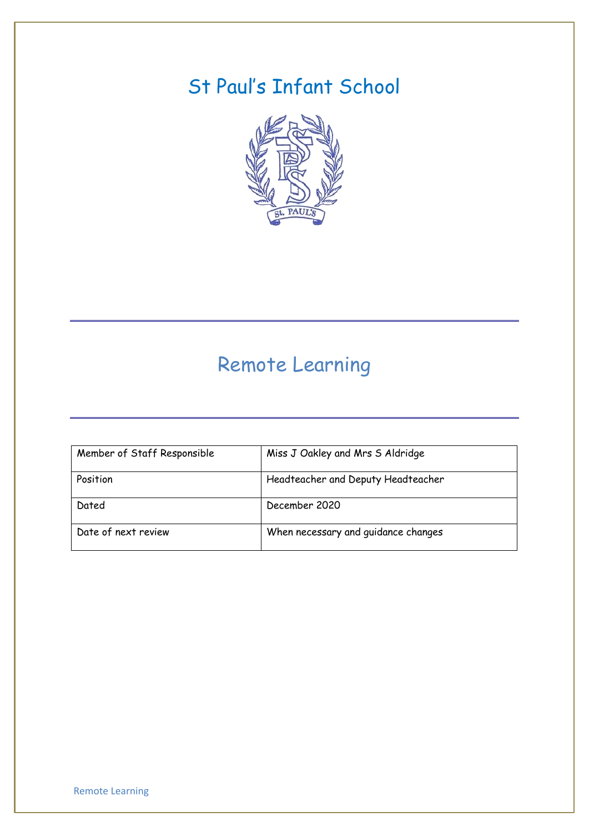# St Paul's Infant School



# Remote Learning

| Member of Staff Responsible | Miss J Oakley and Mrs S Aldridge    |
|-----------------------------|-------------------------------------|
| Position                    | Headteacher and Deputy Headteacher  |
| Dated                       | December 2020                       |
| Date of next review         | When necessary and guidance changes |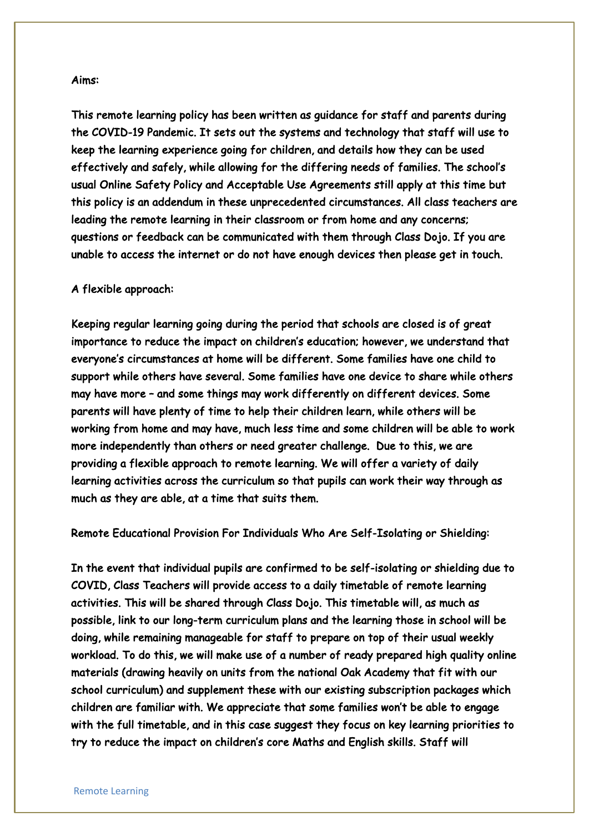#### Aims:

This remote learning policy has been written as guidance for staff and parents during the COVID-19 Pandemic. It sets out the systems and technology that staff will use to keep the learning experience going for children, and details how they can be used effectively and safely, while allowing for the differing needs of families. The school's usual Online Safety Policy and Acceptable Use Agreements still apply at this time but this policy is an addendum in these unprecedented circumstances. All class teachers are leading the remote learning in their classroom or from home and any concerns; questions or feedback can be communicated with them through Class Dojo. If you are unable to access the internet or do not have enough devices then please get in touch.

## A flexible approach:

Keeping regular learning going during the period that schools are closed is of great importance to reduce the impact on children's education; however, we understand that everyone's circumstances at home will be different. Some families have one child to support while others have several. Some families have one device to share while others may have more – and some things may work differently on different devices. Some parents will have plenty of time to help their children learn, while others will be working from home and may have, much less time and some children will be able to work more independently than others or need greater challenge. Due to this, we are providing a flexible approach to remote learning. We will offer a variety of daily learning activities across the curriculum so that pupils can work their way through as much as they are able, at a time that suits them.

Remote Educational Provision For Individuals Who Are Self-Isolating or Shielding:

In the event that individual pupils are confirmed to be self-isolating or shielding due to COVID, Class Teachers will provide access to a daily timetable of remote learning activities. This will be shared through Class Dojo. This timetable will, as much as possible, link to our long-term curriculum plans and the learning those in school will be doing, while remaining manageable for staff to prepare on top of their usual weekly workload. To do this, we will make use of a number of ready prepared high quality online materials (drawing heavily on units from the national Oak Academy that fit with our school curriculum) and supplement these with our existing subscription packages which children are familiar with. We appreciate that some families won't be able to engage with the full timetable, and in this case suggest they focus on key learning priorities to try to reduce the impact on children's core Maths and English skills. Staff will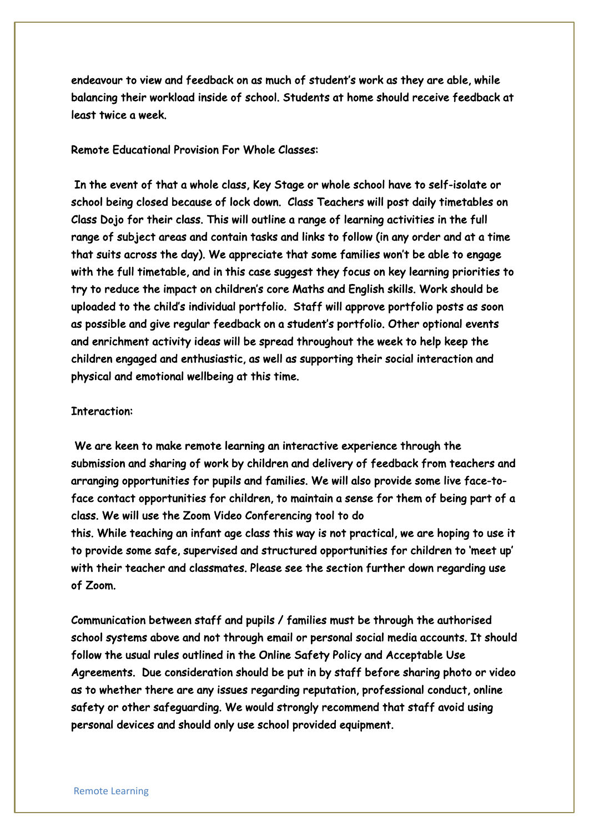endeavour to view and feedback on as much of student's work as they are able, while balancing their workload inside of school. Students at home should receive feedback at least twice a week.

# Remote Educational Provision For Whole Classes:

 In the event of that a whole class, Key Stage or whole school have to self-isolate or school being closed because of lock down. Class Teachers will post daily timetables on Class Dojo for their class. This will outline a range of learning activities in the full range of subject areas and contain tasks and links to follow (in any order and at a time that suits across the day). We appreciate that some families won't be able to engage with the full timetable, and in this case suggest they focus on key learning priorities to try to reduce the impact on children's core Maths and English skills. Work should be uploaded to the child's individual portfolio. Staff will approve portfolio posts as soon as possible and give regular feedback on a student's portfolio. Other optional events and enrichment activity ideas will be spread throughout the week to help keep the children engaged and enthusiastic, as well as supporting their social interaction and physical and emotional wellbeing at this time.

### Interaction:

 We are keen to make remote learning an interactive experience through the submission and sharing of work by children and delivery of feedback from teachers and arranging opportunities for pupils and families. We will also provide some live face-toface contact opportunities for children, to maintain a sense for them of being part of a class. We will use the Zoom Video Conferencing tool to do this. While teaching an infant age class this way is not practical, we are hoping to use it to provide some safe, supervised and structured opportunities for children to 'meet up' with their teacher and classmates. Please see the section further down regarding use of Zoom.

Communication between staff and pupils / families must be through the authorised school systems above and not through email or personal social media accounts. It should follow the usual rules outlined in the Online Safety Policy and Acceptable Use Agreements. Due consideration should be put in by staff before sharing photo or video as to whether there are any issues regarding reputation, professional conduct, online safety or other safeguarding. We would strongly recommend that staff avoid using personal devices and should only use school provided equipment.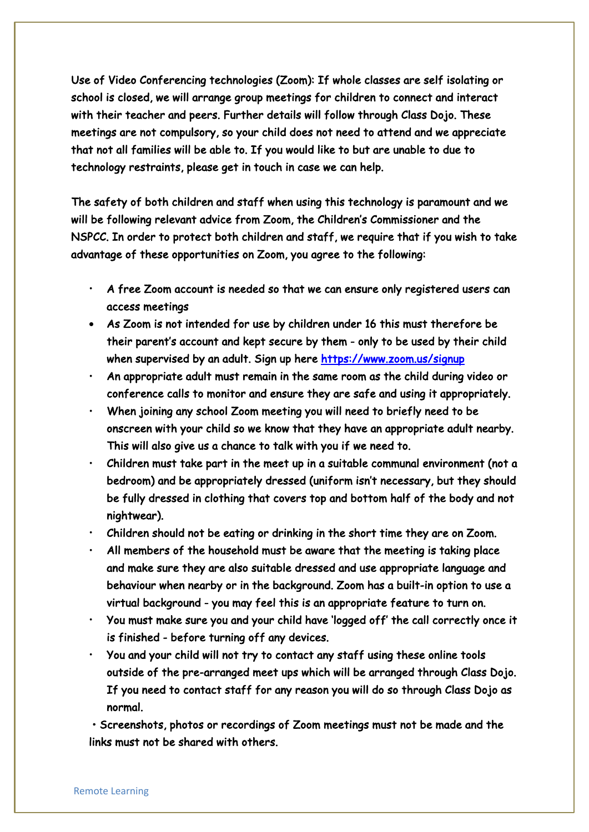Use of Video Conferencing technologies (Zoom): If whole classes are self isolating or school is closed, we will arrange group meetings for children to connect and interact with their teacher and peers. Further details will follow through Class Dojo. These meetings are not compulsory, so your child does not need to attend and we appreciate that not all families will be able to. If you would like to but are unable to due to technology restraints, please get in touch in case we can help.

The safety of both children and staff when using this technology is paramount and we will be following relevant advice from Zoom, the Children's Commissioner and the NSPCC. In order to protect both children and staff, we require that if you wish to take advantage of these opportunities on Zoom, you agree to the following:

- A free Zoom account is needed so that we can ensure only registered users can access meetings
- As Zoom is not intended for use by children under 16 this must therefore be their parent's account and kept secure by them - only to be used by their child when supervised by an adult. Sign up here https://www.zoom.us/signup
- An appropriate adult must remain in the same room as the child during video or conference calls to monitor and ensure they are safe and using it appropriately.
- When joining any school Zoom meeting you will need to briefly need to be onscreen with your child so we know that they have an appropriate adult nearby. This will also give us a chance to talk with you if we need to.
- Children must take part in the meet up in a suitable communal environment (not a bedroom) and be appropriately dressed (uniform isn't necessary, but they should be fully dressed in clothing that covers top and bottom half of the body and not nightwear).
- Children should not be eating or drinking in the short time they are on Zoom.
- All members of the household must be aware that the meeting is taking place and make sure they are also suitable dressed and use appropriate language and behaviour when nearby or in the background. Zoom has a built-in option to use a virtual background - you may feel this is an appropriate feature to turn on.
- You must make sure you and your child have 'logged off' the call correctly once it is finished - before turning off any devices.
- You and your child will not try to contact any staff using these online tools outside of the pre-arranged meet ups which will be arranged through Class Dojo. If you need to contact staff for any reason you will do so through Class Dojo as normal.

 • Screenshots, photos or recordings of Zoom meetings must not be made and the links must not be shared with others.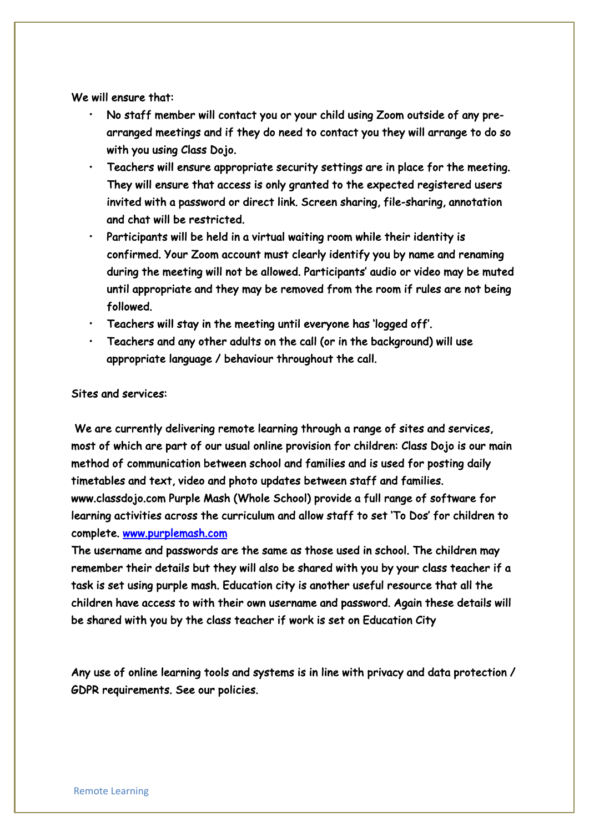We will ensure that:

- No staff member will contact you or your child using Zoom outside of any prearranged meetings and if they do need to contact you they will arrange to do so with you using Class Dojo.
- Teachers will ensure appropriate security settings are in place for the meeting. They will ensure that access is only granted to the expected registered users invited with a password or direct link. Screen sharing, file-sharing, annotation and chat will be restricted.
- Participants will be held in a virtual waiting room while their identity is confirmed. Your Zoom account must clearly identify you by name and renaming during the meeting will not be allowed. Participants' audio or video may be muted until appropriate and they may be removed from the room if rules are not being followed.
- Teachers will stay in the meeting until everyone has 'logged off'.
- $\cdot$  Teachers and any other adults on the call (or in the background) will use appropriate language / behaviour throughout the call.

### Sites and services:

 We are currently delivering remote learning through a range of sites and services, most of which are part of our usual online provision for children: Class Dojo is our main method of communication between school and families and is used for posting daily timetables and text, video and photo updates between staff and families. www.classdojo.com Purple Mash (Whole School) provide a full range of software for learning activities across the curriculum and allow staff to set 'To Dos' for children to complete. www.purplemash.com

The username and passwords are the same as those used in school. The children may remember their details but they will also be shared with you by your class teacher if a task is set using purple mash. Education city is another useful resource that all the children have access to with their own username and password. Again these details will be shared with you by the class teacher if work is set on Education City

Any use of online learning tools and systems is in line with privacy and data protection / GDPR requirements. See our policies.